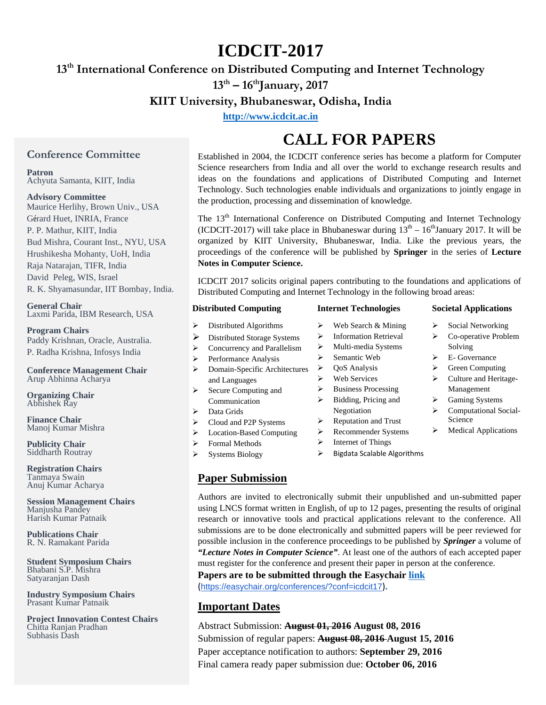# **ICDCIT-2017**

## **13th International Conference on Distributed Computing and Internet Technology**

**13th – 16thJanuary, 2017**

## **KIIT University, Bhubaneswar, Odisha, India**

**[http://www.icdcit.ac.in](http://www.icdcit.ac.in/)**

### **Conference Committee**

**Patron**

Achyuta Samanta, KIIT, India

#### **Advisory Committee**

Maurice Herlihy, Brown Univ., USA Gérard Huet, INRIA, France P. P. Mathur, KIIT, India Bud Mishra, Courant Inst., NYU, USA Hrushikesha Mohanty, UoH, India Raja Natarajan, TIFR, India David Peleg, WIS, Israel R. K. Shyamasundar, IIT Bombay, India.

**General Chair** Laxmi Parida, IBM Research, USA

**Program Chairs** Paddy Krishnan, Oracle, Australia. P. Radha Krishna, Infosys India

**Conference Management Chair** Arup Abhinna Acharya

**Organizing Chair** Abhishek Ray

**Finance Chair** Manoj Kumar Mishra

**Publicity Chair** Siddharth Routray

**Registration Chairs** Tanmaya Swain Anuj Kumar Acharya

**Session Management Chairs** Manjusha Pandey Harish Kumar Patnaik

**Publications Chair** R. N. Ramakant Parida

**Student Symposium Chairs** Bhabani S.P. Mishra Satyaranjan Dash

**Industry Symposium Chairs** Prasant Kumar Patnaik

**Project Innovation Contest Chairs** Chitta Ranjan Pradhan Subhasis Dash

# **CALL FOR PAPERS**

Established in 2004, the ICDCIT conference series has become a platform for Computer Science researchers from India and all over the world to exchange research results and ideas on the foundations and applications of Distributed Computing and Internet Technology. Such technologies enable individuals and organizations to jointly engage in the production, processing and dissemination of knowledge.

The 13<sup>th</sup> International Conference on Distributed Computing and Internet Technology (ICDCIT-2017) will take place in Bhubaneswar during  $13<sup>th</sup> - 16<sup>th</sup>$ January 2017. It will be organized by KIIT University, Bhubaneswar, India. Like the previous years, the proceedings of the conference will be published by **Springer** in the series of **Lecture Notes in Computer Science.**

ICDCIT 2017 solicits original papers contributing to the foundations and applications of Distributed Computing and Internet Technology in the following broad areas:

| <b>Distributed Computing</b>         | <b>Internet Technologies</b>      | <b>Societal Applications</b>     |
|--------------------------------------|-----------------------------------|----------------------------------|
| ➤<br>Distributed Algorithms          | Web Search & Mining<br>⋗          | Social Networking<br>➤           |
| ➤<br>Distributed Storage Systems     | <b>Information Retrieval</b><br>⋗ | Co-operative Problem<br>⋗        |
| Concurrency and Parallelism<br>➤     | Multi-media Systems<br>⋗          | Solving                          |
| Performance Analysis<br>➤            | Semantic Web<br>⋗                 | E- Governance<br>➤               |
| ⋗<br>Domain-Specific Architectures   | <b>QoS</b> Analysis<br>⋗          | <b>Green Computing</b><br>⋗      |
| and Languages                        | <b>Web Services</b>               | Culture and Heritage-<br>≻       |
| Secure Computing and<br>➤            | <b>Business Processing</b><br>⋗   | Management                       |
| Communication                        | Bidding, Pricing and<br>⋗         | Gaming Systems<br>➤              |
| Data Grids<br>➤                      | Negotiation                       | Computational Social-<br>⋗       |
| Cloud and P2P Systems<br>≻           | <b>Reputation and Trust</b><br>⋗  | Science                          |
| <b>Location-Based Computing</b><br>➤ | <b>Recommender Systems</b><br>⋗   | <b>Medical Applications</b><br>⋗ |
| <b>Formal Methods</b><br>⋗           | Internet of Things                |                                  |
| Systems Biology                      | Bigdata Scalable Algorithms<br>⋗  |                                  |

## **Paper Submission**

> Systems Biology

Authors are invited to electronically submit their unpublished and un-submitted paper using LNCS format written in English, of up to 12 pages, presenting the results of original research or innovative tools and practical applications relevant to the conference. All submissions are to be done electronically and submitted papers will be peer reviewed for possible inclusion in the conference proceedings to be published by *Springer* a volume of *"Lecture Notes in Computer Science"*. At least one of the authors of each accepted paper must register for the conference and present their paper in person at the conference.

**Papers are to be submitted through the Easychair [link](https://easychair.org/conferences/?conf=icdcit17)**

(<https://easychair.org/conferences/?conf=icdcit17>)**.**

### **Important Dates**

Abstract Submission: **August 01, 2016 August 08, 2016** Submission of regular papers: **August 08, 2016 August 15, 2016** Paper acceptance notification to authors: **September 29, 2016** Final camera ready paper submission due: **October 06, 2016**